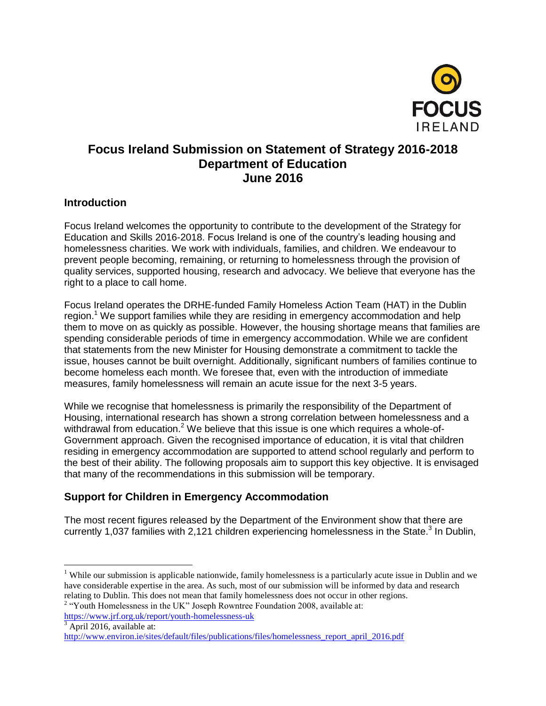

# **Focus Ireland Submission on Statement of Strategy 2016-2018 Department of Education June 2016**

#### **Introduction**

Focus Ireland welcomes the opportunity to contribute to the development of the Strategy for Education and Skills 2016-2018. Focus Ireland is one of the country's leading housing and homelessness charities. We work with individuals, families, and children. We endeavour to prevent people becoming, remaining, or returning to homelessness through the provision of quality services, supported housing, research and advocacy. We believe that everyone has the right to a place to call home.

Focus Ireland operates the DRHE-funded Family Homeless Action Team (HAT) in the Dublin region.<sup>1</sup> We support families while they are residing in emergency accommodation and help them to move on as quickly as possible. However, the housing shortage means that families are spending considerable periods of time in emergency accommodation. While we are confident that statements from the new Minister for Housing demonstrate a commitment to tackle the issue, houses cannot be built overnight. Additionally, significant numbers of families continue to become homeless each month. We foresee that, even with the introduction of immediate measures, family homelessness will remain an acute issue for the next 3-5 years.

While we recognise that homelessness is primarily the responsibility of the Department of Housing, international research has shown a strong correlation between homelessness and a withdrawal from education.<sup>2</sup> We believe that this issue is one which requires a whole-of-Government approach. Given the recognised importance of education, it is vital that children residing in emergency accommodation are supported to attend school regularly and perform to the best of their ability. The following proposals aim to support this key objective. It is envisaged that many of the recommendations in this submission will be temporary.

#### **Support for Children in Emergency Accommodation**

The most recent figures released by the Department of the Environment show that there are currently 1,037 families with 2,121 children experiencing homelessness in the State.<sup>3</sup> In Dublin,

 $\overline{a}$ 

<sup>&</sup>lt;sup>1</sup> While our submission is applicable nationwide, family homelessness is a particularly acute issue in Dublin and we have considerable expertise in the area. As such, most of our submission will be informed by data and research relating to Dublin. This does not mean that family homelessness does not occur in other regions.

<sup>&</sup>lt;sup>2</sup> "Youth Homelessness in the UK" Joseph Rowntree Foundation 2008, available at: <https://www.jrf.org.uk/report/youth-homelessness-uk>

<sup>3</sup> April 2016, available at:

[http://www.environ.ie/sites/default/files/publications/files/homelessness\\_report\\_april\\_2016.pdf](http://www.environ.ie/sites/default/files/publications/files/homelessness_report_april_2016.pdf)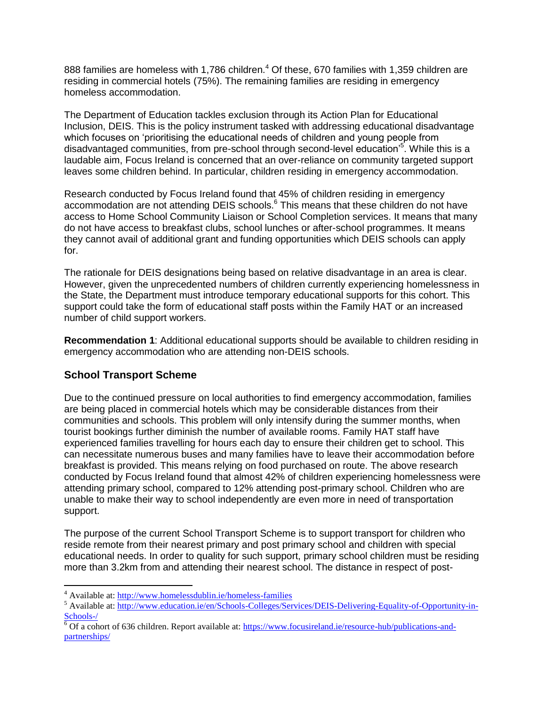888 families are homeless with 1,786 children.<sup>4</sup> Of these, 670 families with 1,359 children are residing in commercial hotels (75%). The remaining families are residing in emergency homeless accommodation.

The Department of Education tackles exclusion through its Action Plan for Educational Inclusion, DEIS. This is the policy instrument tasked with addressing educational disadvantage which focuses on 'prioritising the educational needs of children and young people from disadvantaged communities, from pre-school through second-level education'<sup>5</sup>. While this is a laudable aim, Focus Ireland is concerned that an over-reliance on community targeted support leaves some children behind. In particular, children residing in emergency accommodation.

Research conducted by Focus Ireland found that 45% of children residing in emergency accommodation are not attending DEIS schools.<sup>6</sup> This means that these children do not have access to Home School Community Liaison or School Completion services. It means that many do not have access to breakfast clubs, school lunches or after-school programmes. It means they cannot avail of additional grant and funding opportunities which DEIS schools can apply for.

The rationale for DEIS designations being based on relative disadvantage in an area is clear. However, given the unprecedented numbers of children currently experiencing homelessness in the State, the Department must introduce temporary educational supports for this cohort. This support could take the form of educational staff posts within the Family HAT or an increased number of child support workers.

**Recommendation 1**: Additional educational supports should be available to children residing in emergency accommodation who are attending non-DEIS schools.

# **School Transport Scheme**

 $\overline{a}$ 

Due to the continued pressure on local authorities to find emergency accommodation, families are being placed in commercial hotels which may be considerable distances from their communities and schools. This problem will only intensify during the summer months, when tourist bookings further diminish the number of available rooms. Family HAT staff have experienced families travelling for hours each day to ensure their children get to school. This can necessitate numerous buses and many families have to leave their accommodation before breakfast is provided. This means relying on food purchased on route. The above research conducted by Focus Ireland found that almost 42% of children experiencing homelessness were attending primary school, compared to 12% attending post-primary school. Children who are unable to make their way to school independently are even more in need of transportation support.

The purpose of the current School Transport Scheme is to support transport for children who reside remote from their nearest primary and post primary school and children with special educational needs. In order to quality for such support, primary school children must be residing more than 3.2km from and attending their nearest school. The distance in respect of post-

<sup>&</sup>lt;sup>4</sup> Available at[: http://www.homelessdublin.ie/homeless-families](http://www.homelessdublin.ie/homeless-families)

<sup>&</sup>lt;sup>5</sup> Available at[: http://www.education.ie/en/Schools-Colleges/Services/DEIS-Delivering-Equality-of-Opportunity-in-](http://www.education.ie/en/Schools-Colleges/Services/DEIS-Delivering-Equality-of-Opportunity-in-Schools-/)[Schools-/](http://www.education.ie/en/Schools-Colleges/Services/DEIS-Delivering-Equality-of-Opportunity-in-Schools-/)

 $6$  Of a cohort of 636 children. Report available at:  $\frac{https://www.focusireland.ie/resource-hub/publications-and$ [partnerships/](https://www.focusireland.ie/resource-hub/publications-and-partnerships/)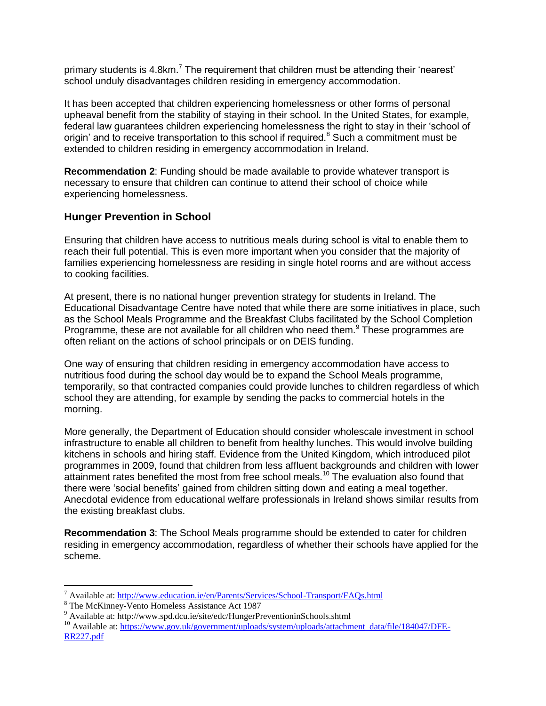primary students is 4.8km.<sup>7</sup> The requirement that children must be attending their 'nearest' school unduly disadvantages children residing in emergency accommodation.

It has been accepted that children experiencing homelessness or other forms of personal upheaval benefit from the stability of staying in their school. In the United States, for example, federal law guarantees children experiencing homelessness the right to stay in their 'school of origin' and to receive transportation to this school if required.<sup>8</sup> Such a commitment must be extended to children residing in emergency accommodation in Ireland.

**Recommendation 2**: Funding should be made available to provide whatever transport is necessary to ensure that children can continue to attend their school of choice while experiencing homelessness.

#### **Hunger Prevention in School**

Ensuring that children have access to nutritious meals during school is vital to enable them to reach their full potential. This is even more important when you consider that the majority of families experiencing homelessness are residing in single hotel rooms and are without access to cooking facilities.

At present, there is no national hunger prevention strategy for students in Ireland. The Educational Disadvantage Centre have noted that while there are some initiatives in place, such as the School Meals Programme and the Breakfast Clubs facilitated by the School Completion Programme, these are not available for all children who need them.<sup>9</sup> These programmes are often reliant on the actions of school principals or on DEIS funding.

One way of ensuring that children residing in emergency accommodation have access to nutritious food during the school day would be to expand the School Meals programme, temporarily, so that contracted companies could provide lunches to children regardless of which school they are attending, for example by sending the packs to commercial hotels in the morning.

More generally, the Department of Education should consider wholescale investment in school infrastructure to enable all children to benefit from healthy lunches. This would involve building kitchens in schools and hiring staff. Evidence from the United Kingdom, which introduced pilot programmes in 2009, found that children from less affluent backgrounds and children with lower attainment rates benefited the most from free school meals.<sup>10</sup> The evaluation also found that there were 'social benefits' gained from children sitting down and eating a meal together. Anecdotal evidence from educational welfare professionals in Ireland shows similar results from the existing breakfast clubs.

**Recommendation 3**: The School Meals programme should be extended to cater for children residing in emergency accommodation, regardless of whether their schools have applied for the scheme.

 $\overline{a}$ 

<sup>7</sup> Available at[: http://www.education.ie/en/Parents/Services/School-Transport/FAQs.html](http://www.education.ie/en/Parents/Services/School-Transport/FAQs.html)

<sup>8</sup> The McKinney-Vento Homeless Assistance Act 1987

<sup>9</sup> Available at: http://www.spd.dcu.ie/site/edc/HungerPreventioninSchools.shtml

<sup>&</sup>lt;sup>10</sup> Available at: [https://www.gov.uk/government/uploads/system/uploads/attachment\\_data/file/184047/DFE-](https://www.gov.uk/government/uploads/system/uploads/attachment_data/file/184047/DFE-RR227.pdf)[RR227.pdf](https://www.gov.uk/government/uploads/system/uploads/attachment_data/file/184047/DFE-RR227.pdf)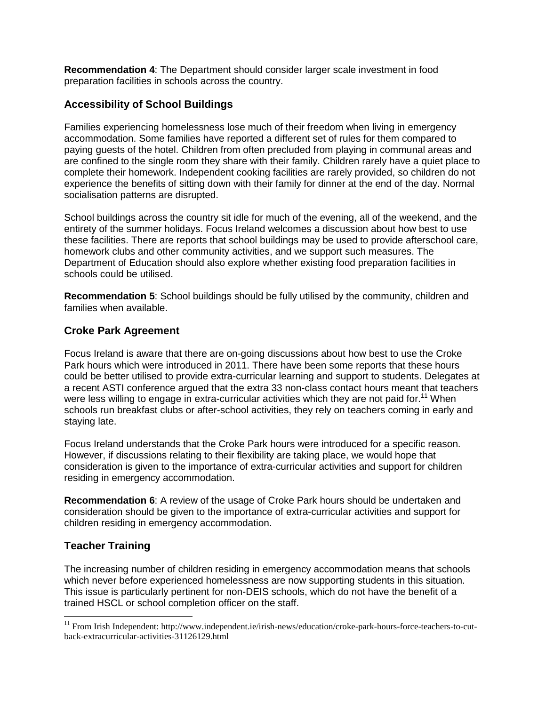**Recommendation 4**: The Department should consider larger scale investment in food preparation facilities in schools across the country.

### **Accessibility of School Buildings**

Families experiencing homelessness lose much of their freedom when living in emergency accommodation. Some families have reported a different set of rules for them compared to paying guests of the hotel. Children from often precluded from playing in communal areas and are confined to the single room they share with their family. Children rarely have a quiet place to complete their homework. Independent cooking facilities are rarely provided, so children do not experience the benefits of sitting down with their family for dinner at the end of the day. Normal socialisation patterns are disrupted.

School buildings across the country sit idle for much of the evening, all of the weekend, and the entirety of the summer holidays. Focus Ireland welcomes a discussion about how best to use these facilities. There are reports that school buildings may be used to provide afterschool care, homework clubs and other community activities, and we support such measures. The Department of Education should also explore whether existing food preparation facilities in schools could be utilised.

**Recommendation 5**: School buildings should be fully utilised by the community, children and families when available.

### **Croke Park Agreement**

Focus Ireland is aware that there are on-going discussions about how best to use the Croke Park hours which were introduced in 2011. There have been some reports that these hours could be better utilised to provide extra-curricular learning and support to students. Delegates at a recent ASTI conference argued that the extra 33 non-class contact hours meant that teachers were less willing to engage in extra-curricular activities which they are not paid for.<sup>11</sup> When schools run breakfast clubs or after-school activities, they rely on teachers coming in early and staying late.

Focus Ireland understands that the Croke Park hours were introduced for a specific reason. However, if discussions relating to their flexibility are taking place, we would hope that consideration is given to the importance of extra-curricular activities and support for children residing in emergency accommodation.

**Recommendation 6**: A review of the usage of Croke Park hours should be undertaken and consideration should be given to the importance of extra-curricular activities and support for children residing in emergency accommodation.

# **Teacher Training**

 $\overline{a}$ 

The increasing number of children residing in emergency accommodation means that schools which never before experienced homelessness are now supporting students in this situation. This issue is particularly pertinent for non-DEIS schools, which do not have the benefit of a trained HSCL or school completion officer on the staff.

<sup>&</sup>lt;sup>11</sup> From Irish Independent: http://www.independent.ie/irish-news/education/croke-park-hours-force-teachers-to-cutback-extracurricular-activities-31126129.html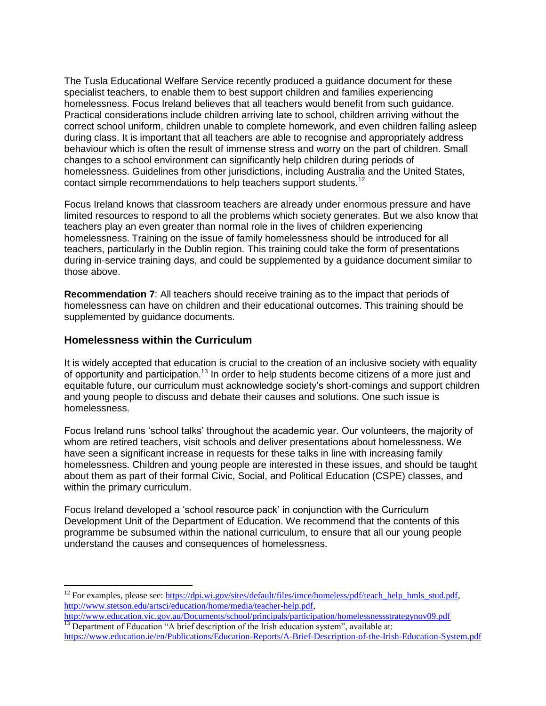The Tusla Educational Welfare Service recently produced a guidance document for these specialist teachers, to enable them to best support children and families experiencing homelessness. Focus Ireland believes that all teachers would benefit from such guidance. Practical considerations include children arriving late to school, children arriving without the correct school uniform, children unable to complete homework, and even children falling asleep during class. It is important that all teachers are able to recognise and appropriately address behaviour which is often the result of immense stress and worry on the part of children. Small changes to a school environment can significantly help children during periods of homelessness. Guidelines from other jurisdictions, including Australia and the United States, contact simple recommendations to help teachers support students.<sup>12</sup>

Focus Ireland knows that classroom teachers are already under enormous pressure and have limited resources to respond to all the problems which society generates. But we also know that teachers play an even greater than normal role in the lives of children experiencing homelessness. Training on the issue of family homelessness should be introduced for all teachers, particularly in the Dublin region. This training could take the form of presentations during in-service training days, and could be supplemented by a guidance document similar to those above.

**Recommendation 7**: All teachers should receive training as to the impact that periods of homelessness can have on children and their educational outcomes. This training should be supplemented by guidance documents.

#### **Homelessness within the Curriculum**

 $\overline{a}$ 

It is widely accepted that education is crucial to the creation of an inclusive society with equality of opportunity and participation.<sup>13</sup> In order to help students become citizens of a more just and equitable future, our curriculum must acknowledge society's short-comings and support children and young people to discuss and debate their causes and solutions. One such issue is homelessness.

Focus Ireland runs 'school talks' throughout the academic year. Our volunteers, the majority of whom are retired teachers, visit schools and deliver presentations about homelessness. We have seen a significant increase in requests for these talks in line with increasing family homelessness. Children and young people are interested in these issues, and should be taught about them as part of their formal Civic, Social, and Political Education (CSPE) classes, and within the primary curriculum.

Focus Ireland developed a 'school resource pack' in conjunction with the Curriculum Development Unit of the Department of Education. We recommend that the contents of this programme be subsumed within the national curriculum, to ensure that all our young people understand the causes and consequences of homelessness.

<sup>&</sup>lt;sup>12</sup> For examples, please see[: https://dpi.wi.gov/sites/default/files/imce/homeless/pdf/teach\\_help\\_hmls\\_stud.pdf,](https://dpi.wi.gov/sites/default/files/imce/homeless/pdf/teach_help_hmls_stud.pdf) [http://www.stetson.edu/artsci/education/home/media/teacher-help.pdf,](http://www.stetson.edu/artsci/education/home/media/teacher-help.pdf)

<http://www.education.vic.gov.au/Documents/school/principals/participation/homelessnessstrategynov09.pdf>  $\frac{13}{13}$  Department of Education "A brief description of the Irish education system", available at:

<https://www.education.ie/en/Publications/Education-Reports/A-Brief-Description-of-the-Irish-Education-System.pdf>